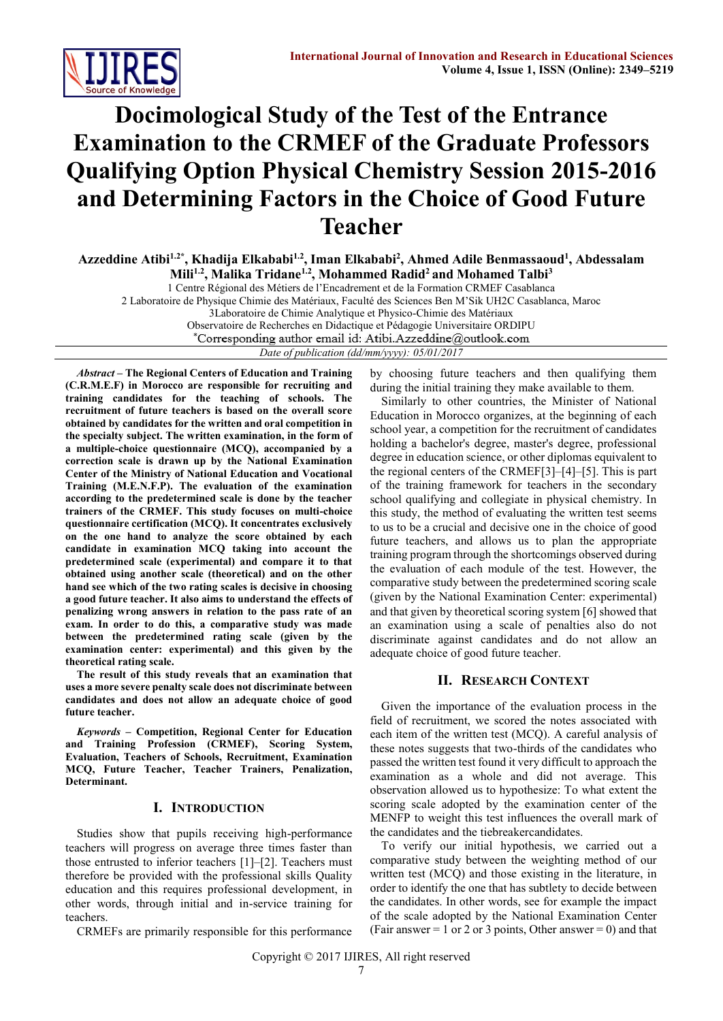

# **Docimological Study of the Test of the Entrance Examination to the CRMEF of the Graduate Professors Qualifying Option Physical Chemistry Session 2015-2016 and Determining Factors in the Choice of Good Future Teacher**

**Azzeddine Atibi1.2\* , Khadija Elkababi1.2, Iman Elkababi<sup>2</sup> , Ahmed Adile Benmassaoud<sup>1</sup> , Abdessalam Mili1.2, Malika Tridane1.2 , Mohammed Radid<sup>2</sup> and Mohamed Talbi<sup>3</sup>**

1 Centre Régional des Métiers de l'Encadrement et de la Formation CRMEF Casablanca

2 Laboratoire de Physique Chimie des Matériaux, Faculté des Sciences Ben M'Sik UH2C Casablanca, Maroc

3Laboratoire de Chimie Analytique et Physico-Chimie des Matériaux

Observatoire de Recherches en Didactique et Pédagogie Universitaire ORDIPU<br>
\*Corresponding author email id: Atibi.Azzeddine@outlook.com

*Date of publication (dd/mm/yyyy): 05/01/2017*

*Abstract* **– The Regional Centers of Education and Training (C.R.M.E.F) in Morocco are responsible for recruiting and training candidates for the teaching of schools. The recruitment of future teachers is based on the overall score obtained by candidates for the written and oral competition in the specialty subject. The written examination, in the form of a multiple-choice questionnaire (MCQ), accompanied by a correction scale is drawn up by the National Examination Center of the Ministry of National Education and Vocational Training (M.E.N.F.P). The evaluation of the examination according to the predetermined scale is done by the teacher trainers of the CRMEF. This study focuses on multi-choice questionnaire certification (MCQ). It concentrates exclusively on the one hand to analyze the score obtained by each candidate in examination MCQ taking into account the predetermined scale (experimental) and compare it to that obtained using another scale (theoretical) and on the other hand see which of the two rating scales is decisive in choosing a good future teacher. It also aims to understand the effects of penalizing wrong answers in relation to the pass rate of an exam. In order to do this, a comparative study was made between the predetermined rating scale (given by the examination center: experimental) and this given by the theoretical rating scale.**

**The result of this study reveals that an examination that uses a more severe penalty scale does not discriminate between candidates and does not allow an adequate choice of good future teacher.**

*Keywords* **– Competition, Regional Center for Education and Training Profession (CRMEF), Scoring System, Evaluation, Teachers of Schools, Recruitment, Examination MCQ, Future Teacher, Teacher Trainers, Penalization, Determinant.**

## **I. INTRODUCTION**

Studies show that pupils receiving high-performance teachers will progress on average three times faster than those entrusted to inferior teachers [1]–[2]. Teachers must therefore be provided with the professional skills Quality education and this requires professional development, in other words, through initial and in-service training for teachers.

CRMEFs are primarily responsible for this performance

by choosing future teachers and then qualifying them during the initial training they make available to them.

Similarly to other countries, the Minister of National Education in Morocco organizes, at the beginning of each school year, a competition for the recruitment of candidates holding a bachelor's degree, master's degree, professional degree in education science, or other diplomas equivalent to the regional centers of the CRMEF[3]–[4]–[5]. This is part of the training framework for teachers in the secondary school qualifying and collegiate in physical chemistry. In this study, the method of evaluating the written test seems to us to be a crucial and decisive one in the choice of good future teachers, and allows us to plan the appropriate training program through the shortcomings observed during the evaluation of each module of the test. However, the comparative study between the predetermined scoring scale (given by the National Examination Center: experimental) and that given by theoretical scoring system  $[6]$  showed that an examination using a scale of penalties also do not discriminate against candidates and do not allow an adequate choice of good future teacher.

## **II. RESEARCH CONTEXT**

Given the importance of the evaluation process in the field of recruitment, we scored the notes associated with each item of the written test (MCQ). A careful analysis of these notes suggests that two-thirds of the candidates who passed the written test found it very difficult to approach the examination as a whole and did not average. This observation allowed us to hypothesize: To what extent the scoring scale adopted by the examination center of the MENFP to weight this test influences the overall mark of the candidates and the tiebreakercandidates.

To verify our initial hypothesis, we carried out a comparative study between the weighting method of our written test (MCQ) and those existing in the literature, in order to identify the one that has subtlety to decide between the candidates. In other words, see for example the impact of the scale adopted by the National Examination Center (Fair answer  $= 1$  or 2 or 3 points, Other answer  $= 0$ ) and that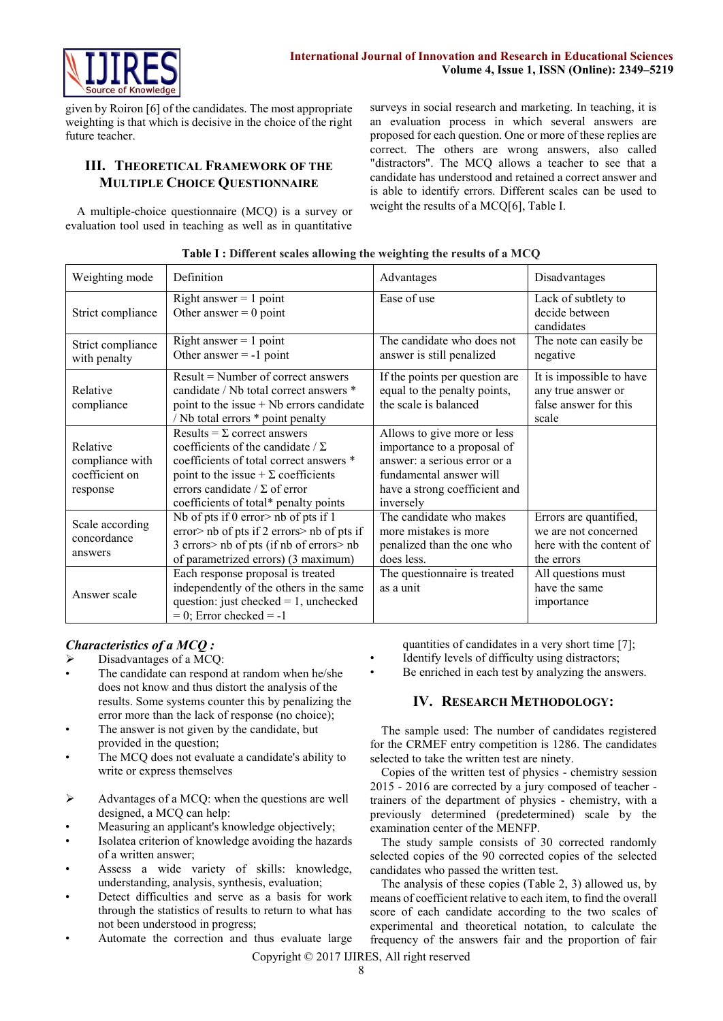

given by Roiron [6] of the candidates. The most appropriate weighting is that which is decisive in the choice of the right future teacher.

# **III. THEORETICAL FRAMEWORK OF THE MULTIPLE CHOICE QUESTIONNAIRE**

A multiple-choice questionnaire (MCQ) is a survey or evaluation tool used in teaching as well as in quantitative surveys in social research and marketing. In teaching, it is an evaluation process in which several answers are proposed for each question. One or more of these replies are correct. The others are wrong answers, also called "distractors". The MCQ allows a teacher to see that a candidate has understood and retained a correct answer and is able to identify errors. Different scales can be used to weight the results of a MCQ[6], Table I.

| Weighting mode                                            | Definition                                                                                                                                                                                                                                               | Advantages                                                                                                                                                          | Disadvantages                                                                            |
|-----------------------------------------------------------|----------------------------------------------------------------------------------------------------------------------------------------------------------------------------------------------------------------------------------------------------------|---------------------------------------------------------------------------------------------------------------------------------------------------------------------|------------------------------------------------------------------------------------------|
| Strict compliance                                         | Right answer $= 1$ point<br>Other answer $= 0$ point                                                                                                                                                                                                     | Ease of use                                                                                                                                                         | Lack of subtlety to<br>decide between<br>candidates                                      |
| Strict compliance<br>with penalty                         | Right answer $= 1$ point<br>Other answer $= -1$ point                                                                                                                                                                                                    | The candidate who does not<br>answer is still penalized                                                                                                             | The note can easily be<br>negative                                                       |
| Relative<br>compliance                                    | $Result = Number of correct answers$<br>candidate / Nb total correct answers *<br>point to the issue $+$ Nb errors candidate<br>/ Nb total errors * point penalty                                                                                        | If the points per question are<br>equal to the penalty points,<br>the scale is balanced                                                                             | It is impossible to have<br>any true answer or<br>false answer for this<br>scale         |
| Relative<br>compliance with<br>coefficient on<br>response | Results = $\Sigma$ correct answers<br>coefficients of the candidate / $\Sigma$<br>coefficients of total correct answers *<br>point to the issue + $\Sigma$ coefficients<br>errors candidate / $\Sigma$ of error<br>coefficients of total* penalty points | Allows to give more or less<br>importance to a proposal of<br>answer: a serious error or a<br>fundamental answer will<br>have a strong coefficient and<br>inversely |                                                                                          |
| Scale according<br>concordance<br>answers                 | Nb of pts if 0 error > nb of pts if 1<br>error> nb of pts if 2 errors> nb of pts if<br>3 errors> nb of pts (if nb of errors> nb<br>of parametrized errors) (3 maximum)                                                                                   | The candidate who makes<br>more mistakes is more<br>penalized than the one who<br>does less.                                                                        | Errors are quantified,<br>we are not concerned<br>here with the content of<br>the errors |
| Answer scale                                              | Each response proposal is treated<br>independently of the others in the same<br>question: just checked $= 1$ , unchecked<br>$= 0$ ; Error checked $= -1$                                                                                                 | The questionnaire is treated<br>as a unit                                                                                                                           | All questions must<br>have the same<br>importance                                        |

|  |  |  |  | Table I: Different scales allowing the weighting the results of a MCQ |  |
|--|--|--|--|-----------------------------------------------------------------------|--|

## *Characteristics of a MCQ :*

- $\triangleright$  Disadvantages of a MCQ:
- The candidate can respond at random when he/she does not know and thus distort the analysis of the results. Some systems counter this by penalizing the error more than the lack of response (no choice);
- The answer is not given by the candidate, but provided in the question;
- The MCQ does not evaluate a candidate's ability to write or express themselves
- $\triangleright$  Advantages of a MCQ: when the questions are well designed, a MCQ can help:
- Measuring an applicant's knowledge objectively;
- Isolatea criterion of knowledge avoiding the hazards of a written answer;
- Assess a wide variety of skills: knowledge, understanding, analysis, synthesis, evaluation;
- Detect difficulties and serve as a basis for work through the statistics of results to return to what has not been understood in progress;
- Automate the correction and thus evaluate large
- quantities of candidates in a very short time [7];
- Identify levels of difficulty using distractors;
- Be enriched in each test by analyzing the answers.

### **IV. RESEARCH METHODOLOGY:**

The sample used: The number of candidates registered for the CRMEF entry competition is 1286. The candidates selected to take the written test are ninety.

Copies of the written test of physics - chemistry session 2015 - 2016 are corrected by a jury composed of teacher trainers of the department of physics - chemistry, with a previously determined (predetermined) scale by the examination center of the MENFP.

The study sample consists of 30 corrected randomly selected copies of the 90 corrected copies of the selected candidates who passed the written test.

The analysis of these copies (Table 2, 3) allowed us, by means of coefficient relative to each item, to find the overall score of each candidate according to the two scales of experimental and theoretical notation, to calculate the frequency of the answers fair and the proportion of fair

Copyright © 2017 IJIRES, All right reserved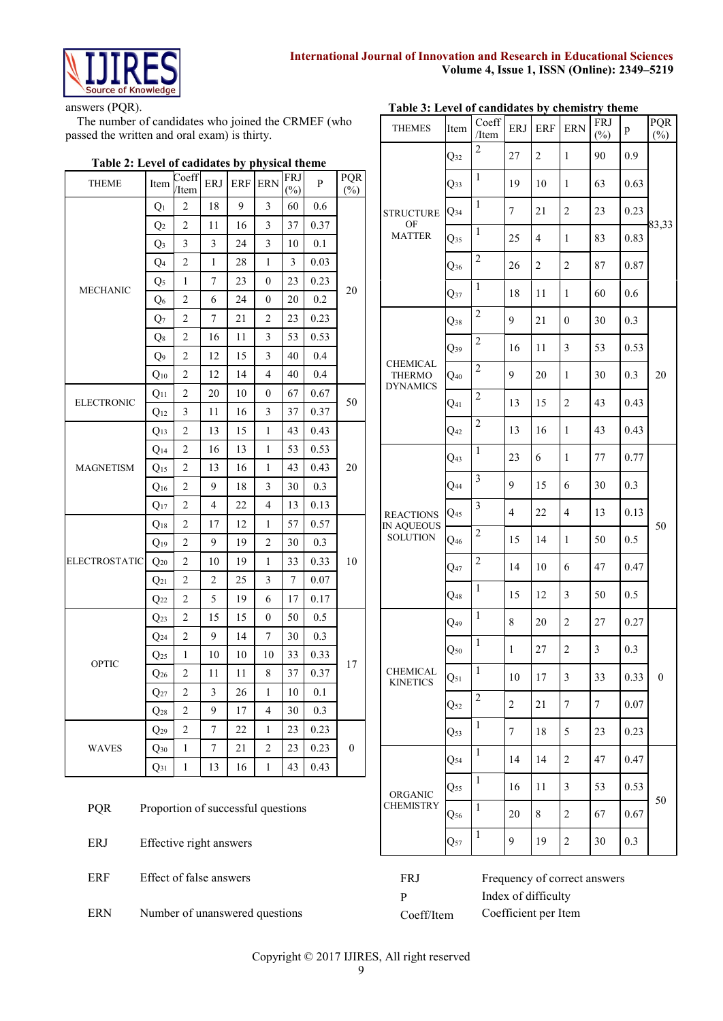

answers (PQR).

The number of candidates who joined the CRMEF (who passed the written and oral exam) is thirty.

# **Table 2: Level of cadidates by physical theme**

| <b>THEME</b>         | Item              | Coeff<br>/Item          | <b>ERJ</b> | <b>ERF</b> | <b>ERN</b>       | FRJ<br>$(\%)$ | P    | PQR<br>$(\%)$    |  |
|----------------------|-------------------|-------------------------|------------|------------|------------------|---------------|------|------------------|--|
|                      | $Q_1$             | 2                       | 18         | 9          | 3                | 60            | 0.6  |                  |  |
|                      | $\mathbf{Q}_2$    | 2                       | 11         | 16         | 3                | 37            | 0.37 |                  |  |
|                      | $Q_3$             | 3                       | 3          | 24         | 3                | 10            | 0.1  |                  |  |
|                      | Q <sub>4</sub>    | $\overline{c}$          | 1          | 28         | 1                | 3             | 0.03 |                  |  |
| <b>MECHANIC</b>      | $Q_5$             | 1                       | 7          | 23         | $\theta$         | 23            | 0.23 |                  |  |
|                      | $Q_6$             | 2                       | 6          | 24         | $\boldsymbol{0}$ | 20            | 0.2  | 20               |  |
|                      | $Q_7$             | $\overline{\mathbf{c}}$ | 7          | 21         | 2                | 23            | 0.23 |                  |  |
|                      | $\mathrm{Q}_8$    | 2                       | 16         | 11         | 3                | 53            | 0.53 |                  |  |
|                      | Q9                | 2                       | 12         | 15         | 3                | 40            | 0.4  |                  |  |
|                      | $Q_{10}$          | $\overline{c}$          | 12         | 14         | $\overline{4}$   | 40            | 0.4  |                  |  |
| <b>ELECTRONIC</b>    | $Q_{11}$          | 2                       | 20         | 10         | $\boldsymbol{0}$ | 67            | 0.67 | 50               |  |
|                      | $Q_{12}$          | 3                       | 11         | 16         | 3                | 37            | 0.37 |                  |  |
|                      | $Q_{13}$          | 2                       | 13         | 15         | 1                | 43            | 0.43 |                  |  |
|                      | $Q_{14}$          | 2                       | 16         | 13         | 1                | 53            | 0.53 |                  |  |
| <b>MAGNETISM</b>     | $Q_{15}$          | 2                       | 13         | 16         | 1                | 43            | 0.43 | 20               |  |
|                      | $Q_{16}$          | $\overline{c}$          | 9          | 18         | 3                | 30            | 0.3  |                  |  |
|                      | $Q_{17}$          | 2                       | 4          | 22         | $\overline{4}$   | 13            | 0.13 |                  |  |
|                      | $Q_{18}$          | 2                       | 17         | 12         | 1                | 57            | 0.57 |                  |  |
|                      | $Q_{19}$          | 2                       | 9          | 19         | $\overline{2}$   | 30            | 0.3  |                  |  |
| <b>ELECTROSTATIC</b> | $Q_{20}$          | 2                       | 10         | 19         | 1                | 33            | 0.33 | 10               |  |
|                      | $Q_{21}$          | 2                       | 2          | 25         | 3                | 7             | 0.07 |                  |  |
|                      | $Q_{22}$          | 2                       | 5          | 19         | 6                | 17            | 0.17 |                  |  |
|                      | $Q_{23}$          | 2                       | 15         | 15         | $\boldsymbol{0}$ | 50            | 0.5  |                  |  |
|                      | $\mathrm{Q}_{24}$ | 2                       | 9          | 14         | 7                | 30            | 0.3  |                  |  |
| OPTIC                | $Q_{25}$          | 1                       | 10         | 10         | 10               | 33            | 0.33 | 17               |  |
|                      | $\mathrm{Q}_{26}$ | 2                       | 11         | 11         | 8                | 37            | 0.37 |                  |  |
|                      | $Q_{27}$          | 2                       | 3          | 26         | 1                | 10            | 0.1  |                  |  |
|                      | $Q_{28}$          | 2                       | 9          | 17         | 4                | 30            | 0.3  |                  |  |
|                      | $Q_{29}$          | 2                       | 7          | 22         | 1                | 23            | 0.23 |                  |  |
| WAVES                | $Q_{30}$          | 1                       | 7          | 21         | $\overline{2}$   | 23            | 0.23 | $\boldsymbol{0}$ |  |
|                      | $Q_{31}$          | 1                       | 13         | 16         | 1                | 43            | 0.43 |                  |  |

# **Table 3: Level of candidates by chemistry theme**

| <b>THEMES</b>                                       | Item            | Coeff<br>$/$ Item | ERJ            | <b>ERF</b>     | <b>ERN</b>              | <b>FRJ</b><br>$(\%)$ | p    | PQR<br>$(\%)$    |  |
|-----------------------------------------------------|-----------------|-------------------|----------------|----------------|-------------------------|----------------------|------|------------------|--|
|                                                     | $Q_{32}$        | $\overline{c}$    | 27             | $\overline{2}$ | 1                       | 90                   | 0.9  |                  |  |
|                                                     | Q <sub>33</sub> | $\mathbf{1}$      | 19             | 10             | 1                       | 63                   | 0.63 |                  |  |
| <b>STRUCTURE</b>                                    | $Q_{34}$        | $\,1$             | $\tau$         | 21             | $\overline{c}$          | 23                   | 0.23 |                  |  |
| OF<br><b>MATTER</b>                                 | $Q_{35}$        | $\mathbf{1}$      | 25             | $\overline{4}$ | $\mathbf{1}$            | 83                   | 0.83 | 83,33            |  |
|                                                     | $Q_{36}$        | $\overline{c}$    | 26             | $\overline{c}$ | $\overline{c}$          | 87                   | 0.87 |                  |  |
|                                                     | $Q_{37}$        | 1                 | 18             | 11             | 1                       | 60                   | 0.6  |                  |  |
|                                                     | $Q_{38}$        | $\overline{c}$    | 9              | 21             | 0                       | 30                   | 0.3  |                  |  |
|                                                     | $Q_{39}$        | 2                 | 16             | 11             | 3                       | 53                   | 0.53 |                  |  |
| <b>CHEMICAL</b><br><b>THERMO</b><br><b>DYNAMICS</b> | $Q_{40}$        | $\overline{c}$    | 9              | 20             | $\mathbf{1}$            | 30                   | 0.3  | 20               |  |
|                                                     | $Q_{41}$        | $\overline{c}$    | 13             | 15             | $\overline{c}$          | 43                   | 0.43 |                  |  |
|                                                     | $Q_{42}$        | $\overline{c}$    | 13             | 16             | $\mathbf{1}$            | 43                   | 0.43 |                  |  |
|                                                     | $Q_{43}$        | 1                 | 23             | 6              | $\mathbf{1}$            | 77                   | 0.77 |                  |  |
|                                                     | $Q_{44}$        | 3                 | 9              | 15             | 6                       | 30                   | 0.3  |                  |  |
| <b>REACTIONS</b>                                    | $Q_{45}$        | 3                 | $\overline{4}$ | 22             | $\overline{4}$          | 13                   | 0.13 | 50               |  |
| IN AQUEOUS<br><b>SOLUTION</b>                       | $Q_{46}$        | $\sqrt{2}$        | 15             | 14             | 1                       | 50                   | 0.5  |                  |  |
|                                                     | $Q_{47}$        | $\overline{c}$    | 14             | 10             | 6                       | 47                   | 0.47 |                  |  |
|                                                     | $Q_{48}$        | $\,1$             | 15             | 12             | 3                       | 50                   | 0.5  |                  |  |
|                                                     | Q49             | $\mathbf{1}$      | 8              | 20             | $\overline{c}$          | 27                   | 0.27 |                  |  |
|                                                     | $Q_{50}$        | $\mathbf{1}$      | $\mathbf{1}$   | $27\,$         | $\overline{\mathbf{c}}$ | 3                    | 0.3  |                  |  |
| CHEMICAL<br><b>KINETICS</b>                         | $Q_{51}$        | 1                 | 10             | 17             | 3                       | 33                   | 0.33 | $\boldsymbol{0}$ |  |
|                                                     | $Q_{52}$        | 2                 | 2              | 21             | 7                       | 7                    | 0.07 |                  |  |
|                                                     | $Q_{53}$        | 1                 | 7              | 18             | 5                       | 23                   | 0.23 |                  |  |
|                                                     | $Q_{54}$        | 1                 | 14             | 14             | 2                       | 47                   | 0.47 |                  |  |
| ORGANIC                                             | Q55             | $\mathbf{1}$      | 16             | 11             | 3                       | 53                   | 0.53 |                  |  |
| CHEMISTRY                                           | $Q_{56}$        | 1                 | 20             | 8              | $\overline{c}$          | 67                   | 0.67 | 50               |  |
|                                                     | $Q_{57}$        | 1                 | 9              | 19             | 2                       | 30                   | 0.3  |                  |  |

| <b>POR</b> | Proportion of successful questions |
|------------|------------------------------------|
| ERJ        | Effective right answers            |

ERF Effect of false answers

ERN Number of unanswered questions

FRJ Frequency of correct answers P Index of difficulty Coeff/Item Coefficient per Item